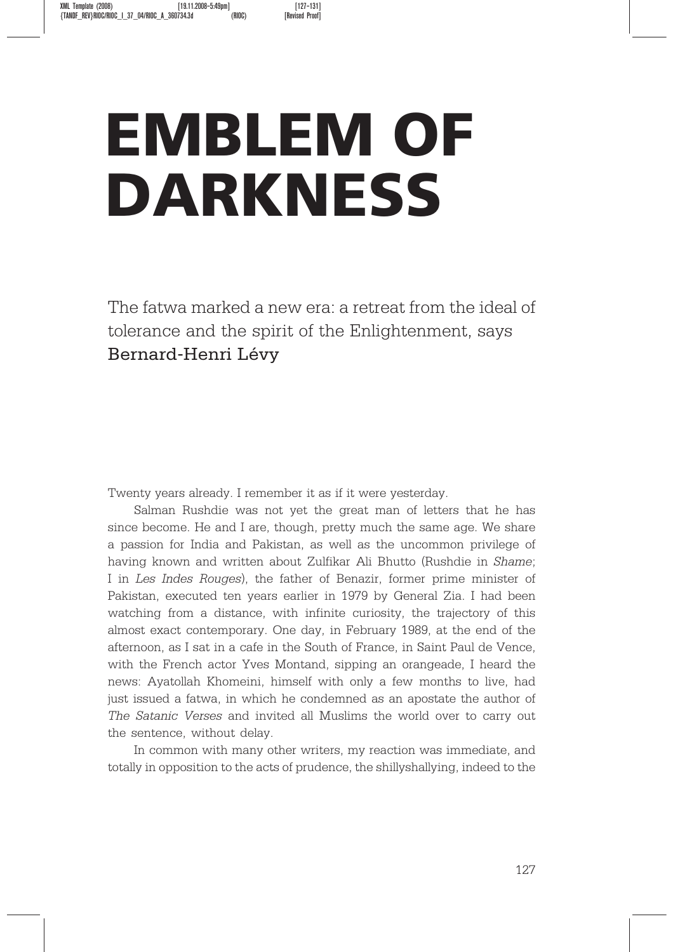## EMBLEM OF DARKNESS

The fatwa marked a new era: a retreat from the ideal of tolerance and the spirit of the Enlightenment, says Bernard-Henri Lévy

Twenty years already. I remember it as if it were yesterday.

Salman Rushdie was not yet the great man of letters that he has since become. He and I are, though, pretty much the same age. We share a passion for India and Pakistan, as well as the uncommon privilege of having known and written about Zulfikar Ali Bhutto (Rushdie in Shame; I in Les Indes Rouges), the father of Benazir, former prime minister of Pakistan, executed ten years earlier in 1979 by General Zia. I had been watching from a distance, with infinite curiosity, the trajectory of this almost exact contemporary. One day, in February 1989, at the end of the afternoon, as I sat in a cafe in the South of France, in Saint Paul de Vence, with the French actor Yves Montand, sipping an orangeade, I heard the news: Ayatollah Khomeini, himself with only a few months to live, had just issued a fatwa, in which he condemned as an apostate the author of The Satanic Verses and invited all Muslims the world over to carry out the sentence, without delay.

In common with many other writers, my reaction was immediate, and totally in opposition to the acts of prudence, the shillyshallying, indeed to the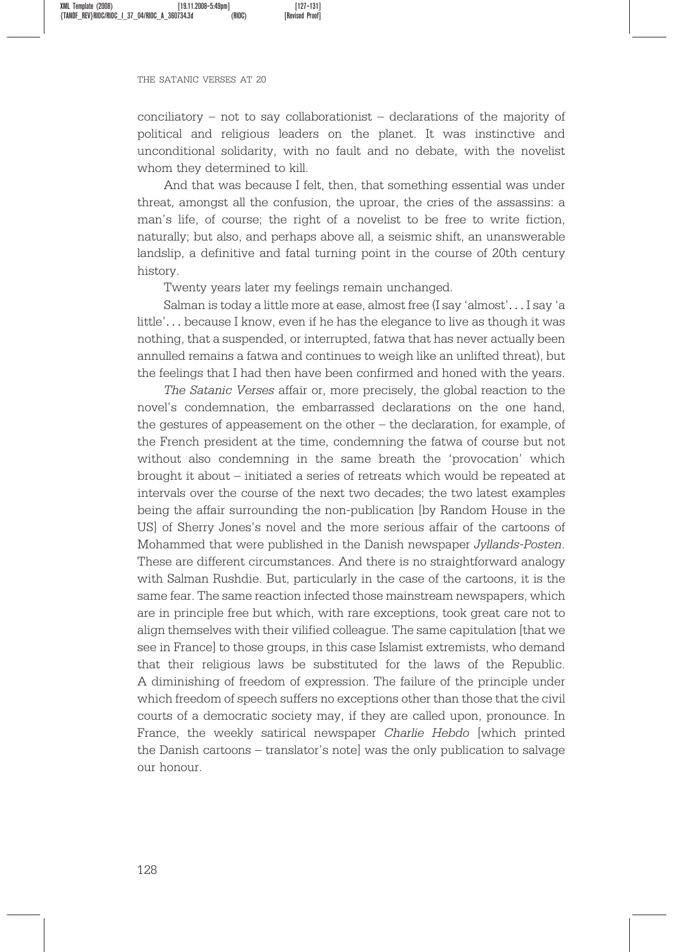## THE SATANIC VERSES AT 20

conciliatory – not to say collaborationist – declarations of the majority of political and religious leaders on the planet. It was instinctive and unconditional solidarity, with no fault and no debate, with the novelist whom they determined to kill.

And that was because I felt, then, that something essential was under threat, amongst all the confusion, the uproar, the cries of the assassins: a man's life, of course; the right of a novelist to be free to write fiction, naturally; but also, and perhaps above all, a seismic shift, an unanswerable landslip, a definitive and fatal turning point in the course of 20th century history.

Twenty years later my feelings remain unchanged.

Salman is today a little more at ease, almost free (I say 'almost'... I say 'a little'... because I know, even if he has the elegance to live as though it was nothing, that a suspended, or interrupted, fatwa that has never actually been annulled remains a fatwa and continues to weigh like an unlifted threat), but the feelings that I had then have been confirmed and honed with the years.

The Satanic Verses affair or, more precisely, the global reaction to the novel's condemnation, the embarrassed declarations on the one hand, the gestures of appeasement on the other – the declaration, for example, of the French president at the time, condemning the fatwa of course but not without also condemning in the same breath the 'provocation' which brought it about – initiated a series of retreats which would be repeated at intervals over the course of the next two decades; the two latest examples being the affair surrounding the non-publication [by Random House in the US] of Sherry Jones's novel and the more serious affair of the cartoons of Mohammed that were published in the Danish newspaper Jyllands-Posten. These are different circumstances. And there is no straightforward analogy with Salman Rushdie. But, particularly in the case of the cartoons, it is the same fear. The same reaction infected those mainstream newspapers, which are in principle free but which, with rare exceptions, took great care not to align themselves with their vilified colleague. The same capitulation [that we see in France] to those groups, in this case Islamist extremists, who demand that their religious laws be substituted for the laws of the Republic. A diminishing of freedom of expression. The failure of the principle under which freedom of speech suffers no exceptions other than those that the civil courts of a democratic society may, if they are called upon, pronounce. In France, the weekly satirical newspaper Charlie Hebdo [which printed the Danish cartoons – translator's note] was the only publication to salvage our honour.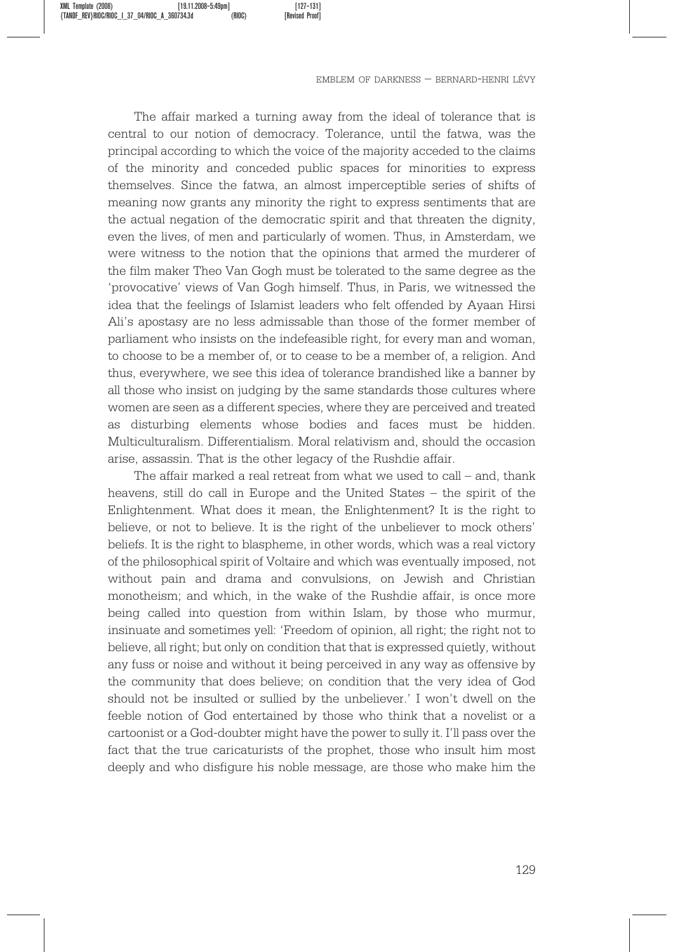EMBLEM OF DARKNESS – BERNARD-HENRI LE´VY

The affair marked a turning away from the ideal of tolerance that is central to our notion of democracy. Tolerance, until the fatwa, was the principal according to which the voice of the majority acceded to the claims of the minority and conceded public spaces for minorities to express themselves. Since the fatwa, an almost imperceptible series of shifts of meaning now grants any minority the right to express sentiments that are the actual negation of the democratic spirit and that threaten the dignity, even the lives, of men and particularly of women. Thus, in Amsterdam, we were witness to the notion that the opinions that armed the murderer of the film maker Theo Van Gogh must be tolerated to the same degree as the 'provocative' views of Van Gogh himself. Thus, in Paris, we witnessed the idea that the feelings of Islamist leaders who felt offended by Ayaan Hirsi Ali's apostasy are no less admissable than those of the former member of parliament who insists on the indefeasible right, for every man and woman, to choose to be a member of, or to cease to be a member of, a religion. And thus, everywhere, we see this idea of tolerance brandished like a banner by all those who insist on judging by the same standards those cultures where women are seen as a different species, where they are perceived and treated as disturbing elements whose bodies and faces must be hidden. Multiculturalism. Differentialism. Moral relativism and, should the occasion arise, assassin. That is the other legacy of the Rushdie affair.

The affair marked a real retreat from what we used to call – and, thank heavens, still do call in Europe and the United States – the spirit of the Enlightenment. What does it mean, the Enlightenment? It is the right to believe, or not to believe. It is the right of the unbeliever to mock others' beliefs. It is the right to blaspheme, in other words, which was a real victory of the philosophical spirit of Voltaire and which was eventually imposed, not without pain and drama and convulsions, on Jewish and Christian monotheism; and which, in the wake of the Rushdie affair, is once more being called into question from within Islam, by those who murmur, insinuate and sometimes yell: 'Freedom of opinion, all right; the right not to believe, all right; but only on condition that that is expressed quietly, without any fuss or noise and without it being perceived in any way as offensive by the community that does believe; on condition that the very idea of God should not be insulted or sullied by the unbeliever.' I won't dwell on the feeble notion of God entertained by those who think that a novelist or a cartoonist or a God-doubter might have the power to sully it. I'll pass over the fact that the true caricaturists of the prophet, those who insult him most deeply and who disfigure his noble message, are those who make him the